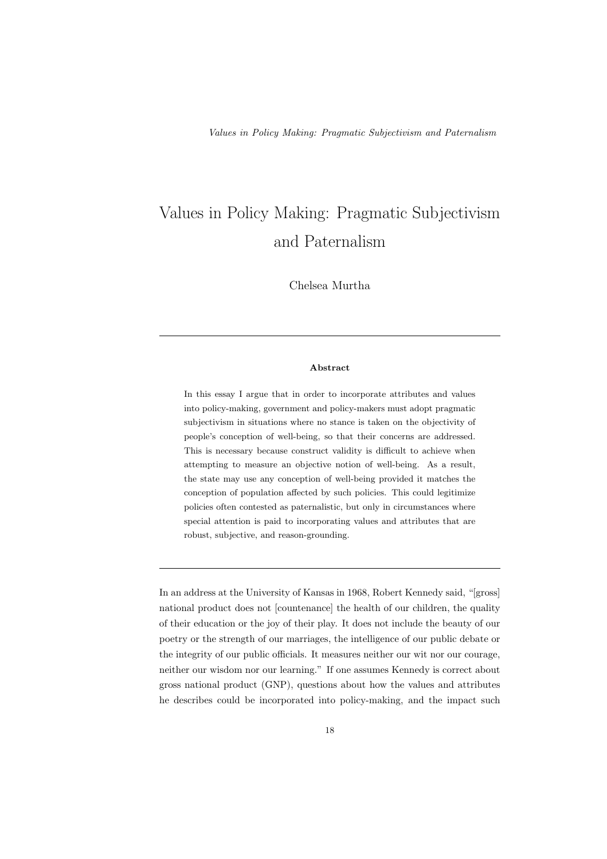Chelsea Murtha

## Abstract

In this essay I argue that in order to incorporate attributes and values into policy-making, government and policy-makers must adopt pragmatic subjectivism in situations where no stance is taken on the objectivity of people's conception of well-being, so that their concerns are addressed. This is necessary because construct validity is difficult to achieve when attempting to measure an objective notion of well-being. As a result, the state may use any conception of well-being provided it matches the conception of population affected by such policies. This could legitimize policies often contested as paternalistic, but only in circumstances where special attention is paid to incorporating values and attributes that are robust, subjective, and reason-grounding.

In an address at the University of Kansas in 1968, Robert Kennedy said, "[gross] national product does not [countenance] the health of our children, the quality of their education or the joy of their play. It does not include the beauty of our poetry or the strength of our marriages, the intelligence of our public debate or the integrity of our public officials. It measures neither our wit nor our courage, neither our wisdom nor our learning." If one assumes Kennedy is correct about gross national product (GNP), questions about how the values and attributes he describes could be incorporated into policy-making, and the impact such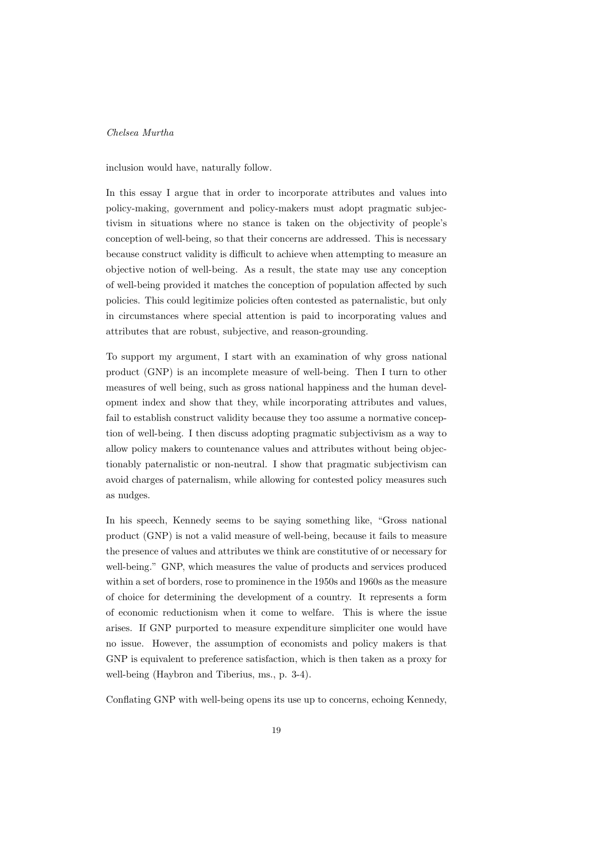inclusion would have, naturally follow.

In this essay I argue that in order to incorporate attributes and values into policy-making, government and policy-makers must adopt pragmatic subjectivism in situations where no stance is taken on the objectivity of people's conception of well-being, so that their concerns are addressed. This is necessary because construct validity is difficult to achieve when attempting to measure an objective notion of well-being. As a result, the state may use any conception of well-being provided it matches the conception of population affected by such policies. This could legitimize policies often contested as paternalistic, but only in circumstances where special attention is paid to incorporating values and attributes that are robust, subjective, and reason-grounding.

To support my argument, I start with an examination of why gross national product (GNP) is an incomplete measure of well-being. Then I turn to other measures of well being, such as gross national happiness and the human development index and show that they, while incorporating attributes and values, fail to establish construct validity because they too assume a normative conception of well-being. I then discuss adopting pragmatic subjectivism as a way to allow policy makers to countenance values and attributes without being objectionably paternalistic or non-neutral. I show that pragmatic subjectivism can avoid charges of paternalism, while allowing for contested policy measures such as nudges.

In his speech, Kennedy seems to be saying something like, "Gross national product (GNP) is not a valid measure of well-being, because it fails to measure the presence of values and attributes we think are constitutive of or necessary for well-being." GNP, which measures the value of products and services produced within a set of borders, rose to prominence in the 1950s and 1960s as the measure of choice for determining the development of a country. It represents a form of economic reductionism when it come to welfare. This is where the issue arises. If GNP purported to measure expenditure simpliciter one would have no issue. However, the assumption of economists and policy makers is that GNP is equivalent to preference satisfaction, which is then taken as a proxy for well-being (Haybron and Tiberius, ms., p. 3-4).

Conflating GNP with well-being opens its use up to concerns, echoing Kennedy,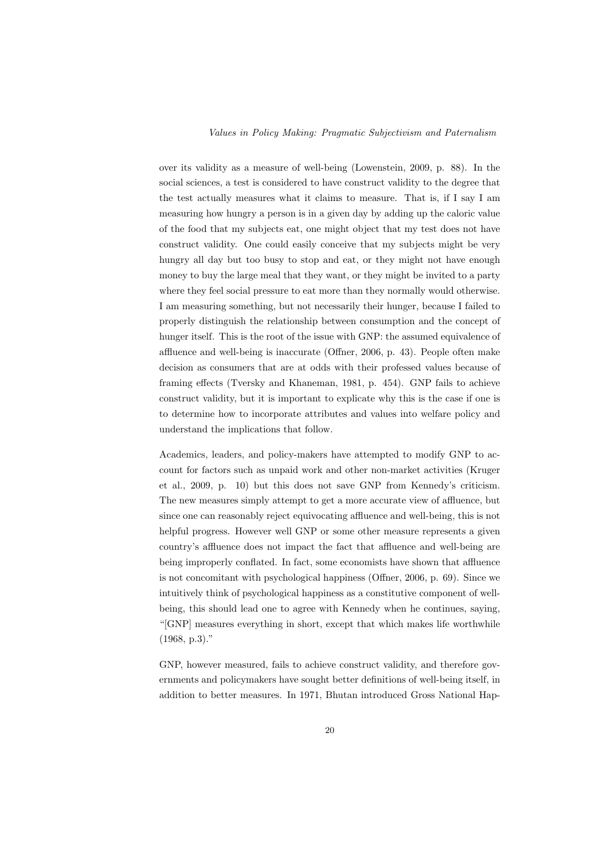over its validity as a measure of well-being (Lowenstein, 2009, p. 88). In the social sciences, a test is considered to have construct validity to the degree that the test actually measures what it claims to measure. That is, if I say I am measuring how hungry a person is in a given day by adding up the caloric value of the food that my subjects eat, one might object that my test does not have construct validity. One could easily conceive that my subjects might be very hungry all day but too busy to stop and eat, or they might not have enough money to buy the large meal that they want, or they might be invited to a party where they feel social pressure to eat more than they normally would otherwise. I am measuring something, but not necessarily their hunger, because I failed to properly distinguish the relationship between consumption and the concept of hunger itself. This is the root of the issue with GNP: the assumed equivalence of affluence and well-being is inaccurate (Offner, 2006, p. 43). People often make decision as consumers that are at odds with their professed values because of framing effects (Tversky and Khaneman, 1981, p. 454). GNP fails to achieve construct validity, but it is important to explicate why this is the case if one is to determine how to incorporate attributes and values into welfare policy and understand the implications that follow.

Academics, leaders, and policy-makers have attempted to modify GNP to account for factors such as unpaid work and other non-market activities (Kruger et al., 2009, p. 10) but this does not save GNP from Kennedy's criticism. The new measures simply attempt to get a more accurate view of affluence, but since one can reasonably reject equivocating affluence and well-being, this is not helpful progress. However well GNP or some other measure represents a given country's affluence does not impact the fact that affluence and well-being are being improperly conflated. In fact, some economists have shown that affluence is not concomitant with psychological happiness (Offner, 2006, p. 69). Since we intuitively think of psychological happiness as a constitutive component of wellbeing, this should lead one to agree with Kennedy when he continues, saying, "[GNP] measures everything in short, except that which makes life worthwhile (1968, p.3)."

GNP, however measured, fails to achieve construct validity, and therefore governments and policymakers have sought better definitions of well-being itself, in addition to better measures. In 1971, Bhutan introduced Gross National Hap-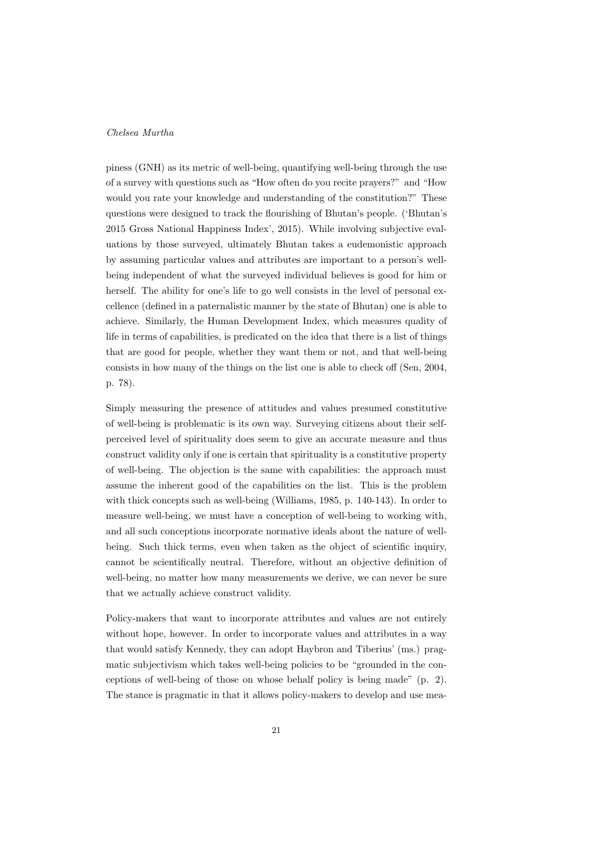piness (GNH) as its metric of well-being, quantifying well-being through the use of a survey with questions such as "How often do you recite prayers?" and "How would you rate your knowledge and understanding of the constitution?" These questions were designed to track the flourishing of Bhutan's people. ('Bhutan's 2015 Gross National Happiness Index', 2015). While involving subjective evaluations by those surveyed, ultimately Bhutan takes a eudemonistic approach by assuming particular values and attributes are important to a person's wellbeing independent of what the surveyed individual believes is good for him or herself. The ability for one's life to go well consists in the level of personal excellence (defined in a paternalistic manner by the state of Bhutan) one is able to achieve. Similarly, the Human Development Index, which measures quality of life in terms of capabilities, is predicated on the idea that there is a list of things that are good for people, whether they want them or not, and that well-being consists in how many of the things on the list one is able to check off (Sen, 2004, p. 78).

Simply measuring the presence of attitudes and values presumed constitutive of well-being is problematic is its own way. Surveying citizens about their selfperceived level of spirituality does seem to give an accurate measure and thus construct validity only if one is certain that spirituality is a constitutive property of well-being. The objection is the same with capabilities: the approach must assume the inherent good of the capabilities on the list. This is the problem with thick concepts such as well-being (Williams, 1985, p. 140-143). In order to measure well-being, we must have a conception of well-being to working with, and all such conceptions incorporate normative ideals about the nature of wellbeing. Such thick terms, even when taken as the object of scientific inquiry, cannot be scientifically neutral. Therefore, without an objective definition of well-being, no matter how many measurements we derive, we can never be sure that we actually achieve construct validity.

Policy-makers that want to incorporate attributes and values are not entirely without hope, however. In order to incorporate values and attributes in a way that would satisfy Kennedy, they can adopt Haybron and Tiberius' (ms.) pragmatic subjectivism which takes well-being policies to be "grounded in the conceptions of well-being of those on whose behalf policy is being made" (p. 2). The stance is pragmatic in that it allows policy-makers to develop and use mea-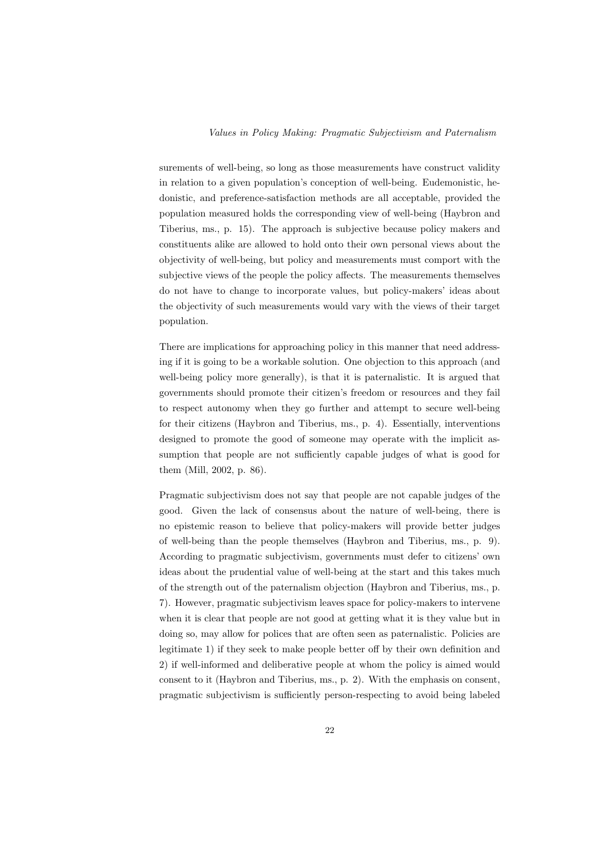surements of well-being, so long as those measurements have construct validity in relation to a given population's conception of well-being. Eudemonistic, hedonistic, and preference-satisfaction methods are all acceptable, provided the population measured holds the corresponding view of well-being (Haybron and Tiberius, ms., p. 15). The approach is subjective because policy makers and constituents alike are allowed to hold onto their own personal views about the objectivity of well-being, but policy and measurements must comport with the subjective views of the people the policy affects. The measurements themselves do not have to change to incorporate values, but policy-makers' ideas about the objectivity of such measurements would vary with the views of their target population.

There are implications for approaching policy in this manner that need addressing if it is going to be a workable solution. One objection to this approach (and well-being policy more generally), is that it is paternalistic. It is argued that governments should promote their citizen's freedom or resources and they fail to respect autonomy when they go further and attempt to secure well-being for their citizens (Haybron and Tiberius, ms., p. 4). Essentially, interventions designed to promote the good of someone may operate with the implicit assumption that people are not sufficiently capable judges of what is good for them (Mill, 2002, p. 86).

Pragmatic subjectivism does not say that people are not capable judges of the good. Given the lack of consensus about the nature of well-being, there is no epistemic reason to believe that policy-makers will provide better judges of well-being than the people themselves (Haybron and Tiberius, ms., p. 9). According to pragmatic subjectivism, governments must defer to citizens' own ideas about the prudential value of well-being at the start and this takes much of the strength out of the paternalism objection (Haybron and Tiberius, ms., p. 7). However, pragmatic subjectivism leaves space for policy-makers to intervene when it is clear that people are not good at getting what it is they value but in doing so, may allow for polices that are often seen as paternalistic. Policies are legitimate 1) if they seek to make people better off by their own definition and 2) if well-informed and deliberative people at whom the policy is aimed would consent to it (Haybron and Tiberius, ms., p. 2). With the emphasis on consent, pragmatic subjectivism is sufficiently person-respecting to avoid being labeled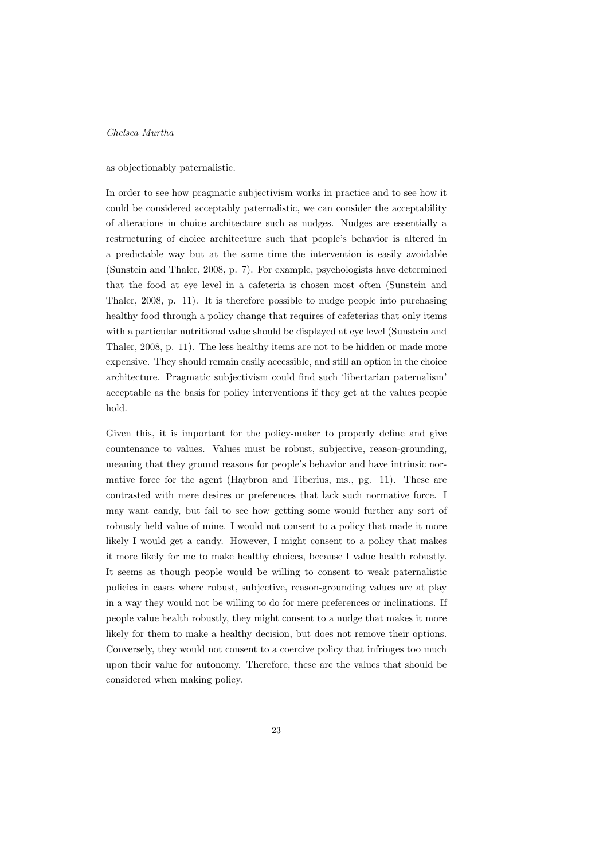as objectionably paternalistic.

In order to see how pragmatic subjectivism works in practice and to see how it could be considered acceptably paternalistic, we can consider the acceptability of alterations in choice architecture such as nudges. Nudges are essentially a restructuring of choice architecture such that people's behavior is altered in a predictable way but at the same time the intervention is easily avoidable (Sunstein and Thaler, 2008, p. 7). For example, psychologists have determined that the food at eye level in a cafeteria is chosen most often (Sunstein and Thaler, 2008, p. 11). It is therefore possible to nudge people into purchasing healthy food through a policy change that requires of cafeterias that only items with a particular nutritional value should be displayed at eye level (Sunstein and Thaler, 2008, p. 11). The less healthy items are not to be hidden or made more expensive. They should remain easily accessible, and still an option in the choice architecture. Pragmatic subjectivism could find such 'libertarian paternalism' acceptable as the basis for policy interventions if they get at the values people hold.

Given this, it is important for the policy-maker to properly define and give countenance to values. Values must be robust, subjective, reason-grounding, meaning that they ground reasons for people's behavior and have intrinsic normative force for the agent (Haybron and Tiberius, ms., pg. 11). These are contrasted with mere desires or preferences that lack such normative force. I may want candy, but fail to see how getting some would further any sort of robustly held value of mine. I would not consent to a policy that made it more likely I would get a candy. However, I might consent to a policy that makes it more likely for me to make healthy choices, because I value health robustly. It seems as though people would be willing to consent to weak paternalistic policies in cases where robust, subjective, reason-grounding values are at play in a way they would not be willing to do for mere preferences or inclinations. If people value health robustly, they might consent to a nudge that makes it more likely for them to make a healthy decision, but does not remove their options. Conversely, they would not consent to a coercive policy that infringes too much upon their value for autonomy. Therefore, these are the values that should be considered when making policy.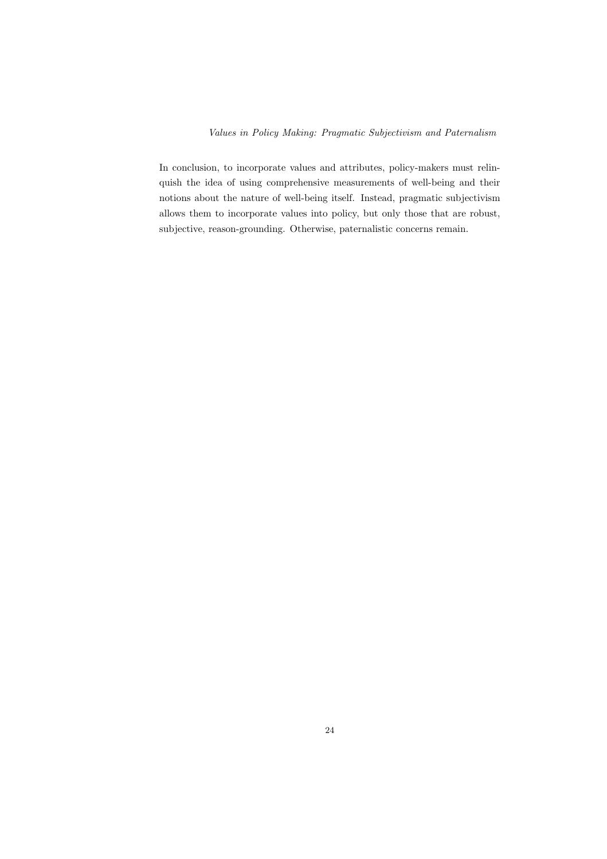In conclusion, to incorporate values and attributes, policy-makers must relinquish the idea of using comprehensive measurements of well-being and their notions about the nature of well-being itself. Instead, pragmatic subjectivism allows them to incorporate values into policy, but only those that are robust, subjective, reason-grounding. Otherwise, paternalistic concerns remain.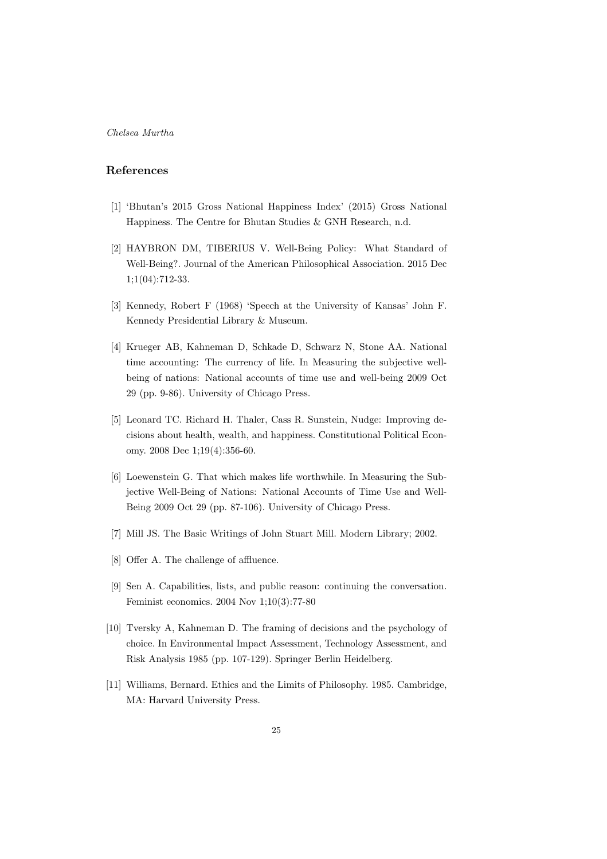# References

- [1] 'Bhutan's 2015 Gross National Happiness Index' (2015) Gross National Happiness. The Centre for Bhutan Studies & GNH Research, n.d.
- [2] HAYBRON DM, TIBERIUS V. Well-Being Policy: What Standard of Well-Being?. Journal of the American Philosophical Association. 2015 Dec 1;1(04):712-33.
- [3] Kennedy, Robert F (1968) 'Speech at the University of Kansas' John F. Kennedy Presidential Library & Museum.
- [4] Krueger AB, Kahneman D, Schkade D, Schwarz N, Stone AA. National time accounting: The currency of life. In Measuring the subjective wellbeing of nations: National accounts of time use and well-being 2009 Oct 29 (pp. 9-86). University of Chicago Press.
- [5] Leonard TC. Richard H. Thaler, Cass R. Sunstein, Nudge: Improving decisions about health, wealth, and happiness. Constitutional Political Economy. 2008 Dec 1;19(4):356-60.
- [6] Loewenstein G. That which makes life worthwhile. In Measuring the Subjective Well-Being of Nations: National Accounts of Time Use and Well-Being 2009 Oct 29 (pp. 87-106). University of Chicago Press.
- [7] Mill JS. The Basic Writings of John Stuart Mill. Modern Library; 2002.
- [8] Offer A. The challenge of affluence.
- [9] Sen A. Capabilities, lists, and public reason: continuing the conversation. Feminist economics. 2004 Nov 1;10(3):77-80
- [10] Tversky A, Kahneman D. The framing of decisions and the psychology of choice. In Environmental Impact Assessment, Technology Assessment, and Risk Analysis 1985 (pp. 107-129). Springer Berlin Heidelberg.
- [11] Williams, Bernard. Ethics and the Limits of Philosophy. 1985. Cambridge, MA: Harvard University Press.